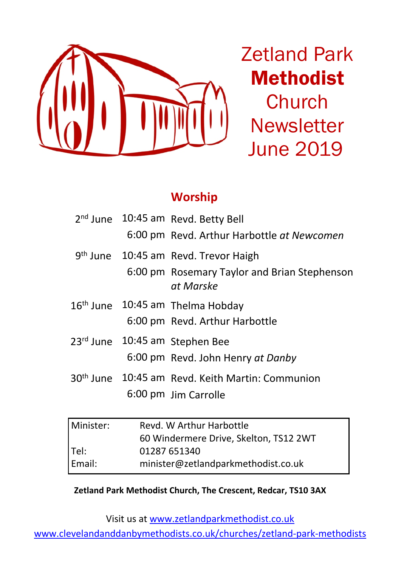

Zetland Park Methodist **Church Newsletter** June 2019

## **Worship**

|  | 2 <sup>nd</sup> June 10:45 am Revd. Betty Bell<br>6:00 pm Revd. Arthur Harbottle at Newcomen                  |
|--|---------------------------------------------------------------------------------------------------------------|
|  | 9 <sup>th</sup> June 10:45 am Revd. Trevor Haigh<br>6:00 pm Rosemary Taylor and Brian Stephenson<br>at Marske |
|  | 16 <sup>th</sup> June 10:45 am Thelma Hobday<br>6:00 pm Revd. Arthur Harbottle                                |
|  | 23rd June 10:45 am Stephen Bee<br>6:00 pm Revd. John Henry at Danby                                           |
|  | 30 <sup>th</sup> June 10:45 am Revd. Keith Martin: Communion<br>6:00 pm Jim Carrolle                          |

| l Minister: | Revd. W Arthur Harbottle               |  |  |
|-------------|----------------------------------------|--|--|
|             | 60 Windermere Drive, Skelton, TS12 2WT |  |  |
| l Tel:      | 01287 651340                           |  |  |
| l Email:    | minister@zetlandparkmethodist.co.uk    |  |  |

#### **Zetland Park Methodist Church, The Crescent, Redcar, TS10 3AX**

Visit us at www.zetlandparkmethodist.co.uk

www.clevelandanddanbymethodists.co.uk/churches/zetland-park-methodists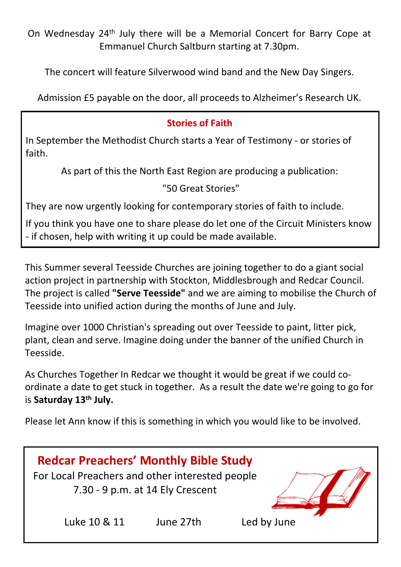On Wednesday 24th July there will be a Memorial Concert for Barry Cope at Emmanuel Church Saltburn starting at 7.30pm.

The concert will feature Silverwood wind band and the New Day Singers.

Admission £5 payable on the door, all proceeds to Alzheimer's Research UK.

## **Stories of Faith**

In September the Methodist Church starts a Year of Testimony - or stories of faith.

As part of this the North East Region are producing a publication:

"50 Great Stories"

They are now urgently looking for contemporary stories of faith to include.

If you think you have one to share please do let one of the Circuit Ministers know - if chosen, help with writing it up could be made available.

This Summer several Teesside Churches are joining together to do a giant social action project in partnership with Stockton, Middlesbrough and Redcar Council. The project is called **"Serve Teesside"** and we are aiming to mobilise the Church of Teesside into unified action during the months of June and July.

Imagine over 1000 Christian's spreading out over Teesside to paint, litter pick, plant, clean and serve. Imagine doing under the banner of the unified Church in Teesside.

As Churches Together In Redcar we thought it would be great if we could coordinate a date to get stuck in together. As a result the date we're going to go for is **Saturday 13th July.**

Please let Ann know if this is something in which you would like to be involved.

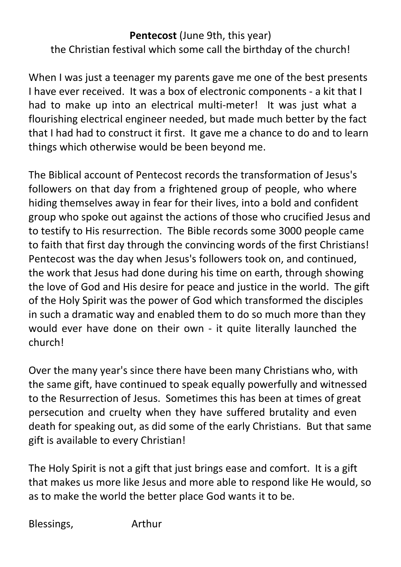## **Pentecost** (June 9th, this year) the Christian festival which some call the birthday of the church!

When I was just a teenager my parents gave me one of the best presents I have ever received. It was a box of electronic components - a kit that I had to make up into an electrical multi-meter! It was just what a flourishing electrical engineer needed, but made much better by the fact that I had had to construct it first. It gave me a chance to do and to learn things which otherwise would be been beyond me.

The Biblical account of Pentecost records the transformation of Jesus's followers on that day from a frightened group of people, who where hiding themselves away in fear for their lives, into a bold and confident group who spoke out against the actions of those who crucified Jesus and to testify to His resurrection. The Bible records some 3000 people came to faith that first day through the convincing words of the first Christians! Pentecost was the day when Jesus's followers took on, and continued, the work that Jesus had done during his time on earth, through showing the love of God and His desire for peace and justice in the world. The gift of the Holy Spirit was the power of God which transformed the disciples in such a dramatic way and enabled them to do so much more than they would ever have done on their own - it quite literally launched the church!

Over the many year's since there have been many Christians who, with the same gift, have continued to speak equally powerfully and witnessed to the Resurrection of Jesus. Sometimes this has been at times of great persecution and cruelty when they have suffered brutality and even death for speaking out, as did some of the early Christians. But that same gift is available to every Christian!

The Holy Spirit is not a gift that just brings ease and comfort. It is a gift that makes us more like Jesus and more able to respond like He would, so as to make the world the better place God wants it to be.

Blessings, Arthur